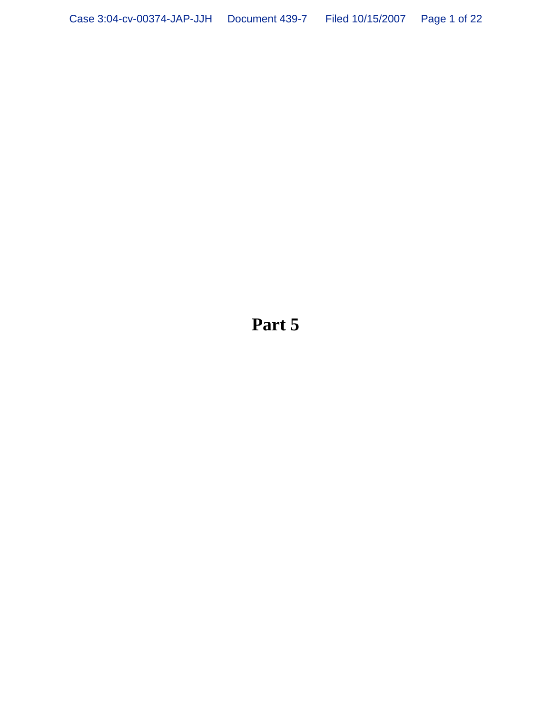**Part 5**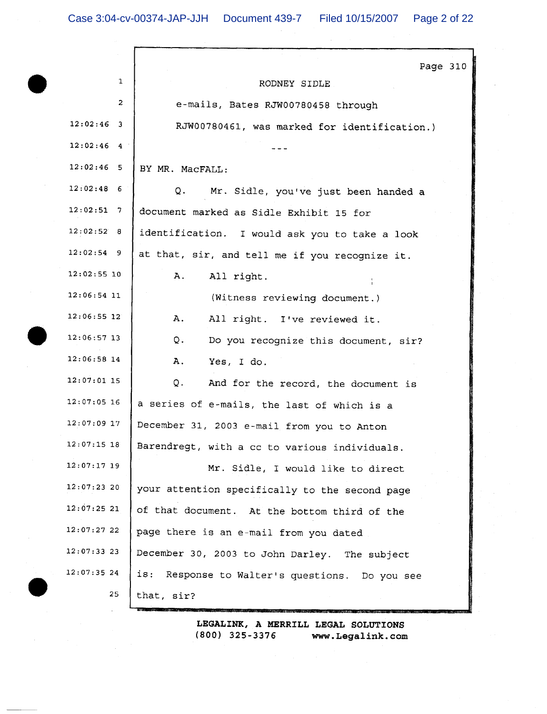J

|                            | Page 310                                       |
|----------------------------|------------------------------------------------|
| 1                          | RODNEY SIDLE                                   |
| 2                          | e-mails, Bates RJW00780458 through             |
| $12:02:46$ 3               | RJW00780461, was marked for identification.)   |
| 12:02:46<br>$\overline{4}$ |                                                |
| $12:02:46$ 5               | BY MR. MacFALL:                                |
| $12:02:48$ 6               | Q.<br>Mr. Sidle, you've just been handed a     |
| 12:02:51<br>$\overline{7}$ | document marked as Sidle Exhibit 15 for        |
| 12:02:52 8                 | identification. I would ask you to take a look |
| $12:02:54$ 9               | at that, sir, and tell me if you recognize it. |
| $12:02:55$ 10              | All right.<br>Α.                               |
| $12:06:54$ 11              | (Witness reviewing document.)                  |
| 12:06:55 12                | Α.<br>All right. I've reviewed it.             |
| $12:06:57$ 13              | Q.<br>Do you recognize this document, sir?     |
| 12:06:58 14                | Α.<br>Yes, I do.                               |
| $12:07:01$ 15              | Q.<br>And for the record, the document is      |
| $12:07:05$ 16              | a series of e-mails, the last of which is a    |
| $12:07:09$ 17              | December 31, 2003 e-mail from you to Anton     |
| $12:07:15$ 18              | Barendregt, with a cc to various individuals.  |
| $12:07:17$ 19              | Mr. Sidle, I would like to direct              |
| $12:07:23$ 20              | your attention specifically to the second page |
| 12:07:2521                 | of that document. At the bottom third of the   |
| 12:07:27 22                | page there is an e-mail from you dated         |
| $12:07:33$ 23              | December 30, 2003 to John Darley. The subject  |
| 12:07:3524                 | is: Response to Walter's questions. Do you see |
| 25                         | that, sir?                                     |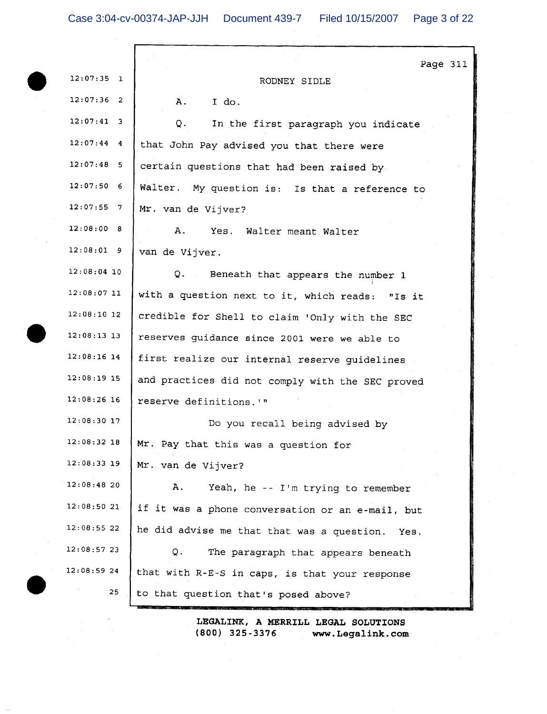Г

|               | Page 311                                           |
|---------------|----------------------------------------------------|
| $12:07:35$ 1  | RODNEY SIDLE                                       |
| $12:07:36$ 2  | I do.<br>Α.                                        |
| $12:07:41$ 3  | Q.<br>In the first paragraph you indicate          |
| $12:07:44$ 4  | that John Pay advised you that there were          |
| $12:07:48$ 5  | certain questions that had been raised by          |
| $12:07:50$ 6  | Walter. My question is: Is that a reference to     |
| $12:07:55$ 7  | Mr. van de Vijver?                                 |
| 12:08:008     | Α.<br>Yes. Walter meant Walter                     |
| $12:08:01$ 9  | van de Vijver.                                     |
| $12:08:04$ 10 | Q. Beneath that appears the number 1               |
| $12:08:07$ 11 | with a question next to it, which reads: "Is it    |
| $12:08:10$ 12 | credible for Shell to claim 'Only with the SEC     |
| $12:08:13$ 13 | reserves guidance since 2001 were we able to       |
| $12:08:16$ 14 | first realize our internal reserve guidelines      |
| $12:08:19$ 15 | and practices did not comply with the SEC proved   |
| $12:08:26$ 16 | reserve definitions.'"                             |
| $12:08:30$ 17 | Do you recall being advised by                     |
| $12:08:32$ 18 | Mr. Pay that this was a question for               |
| $12:08:33$ 19 | Mr. van de Vijver?                                 |
| 12:08:48 20   | Α.<br>Yeah, he -- I'm trying to remember           |
| 12:08:50 21   | if it was a phone conversation or an e-mail, but   |
| 12:08:5522    | he did advise me that that was a question.<br>Yes. |
| 12:08:57 23   | Q.<br>The paragraph that appears beneath           |
| 12:08:5924    | that with R-E-S in caps, is that your response     |
| 25            | to that question that's posed above?               |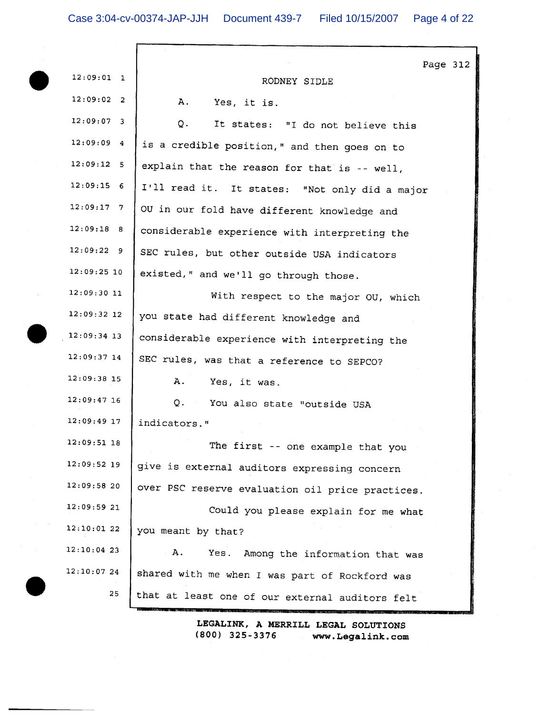|               | Page 312                                         |
|---------------|--------------------------------------------------|
| $12:09:01$ 1  | RODNEY SIDLE                                     |
| $12:09:02$ 2  | A. Yes, it is.                                   |
| $12:09:07$ 3  | Q.<br>It states: "I do not believe this          |
| 12:09:094     | is a credible position," and then goes on to     |
| 12:09:12 5    | explain that the reason for that is -- well,     |
| $12:09:15$ 6  | I'll read it. It states: "Not only did a major   |
| $12:09:17$ 7  | OU in our fold have different knowledge and      |
| $12:09:18$ 8  | considerable experience with interpreting the    |
| 12:09:229     | SEC rules, but other outside USA indicators      |
| $12:09:25$ 10 | existed," and we'll go through those.            |
| 12:09:3011    | With respect to the major OU, which              |
| $12:09:32$ 12 | you state had different knowledge and            |
| $12:09:34$ 13 | considerable experience with interpreting the    |
| $12:09:37$ 14 | SEC rules, was that a reference to SEPCO?        |
| $12:09:38$ 15 | Α.<br>Yes, it was.                               |
| $12:09:47$ 16 | Q. You also state "outside USA                   |
| $12:09:49$ 17 | indicators."                                     |
| 12:09:51 18   | The first -- one example that you                |
| $12:09:52$ 19 | give is external auditors expressing concern     |
| 12:09:58 20   | over PSC reserve evaluation oil price practices. |
| 12:09:5921    | Could you please explain for me what             |
| 12:10:01 22   | you meant by that?                               |
| $12:10:04$ 23 | Α.<br>Yes. Among the information that was        |
| 12:10:07 24   | shared with me when I was part of Rockford was   |
| 25            | that at least one of our external auditors felt  |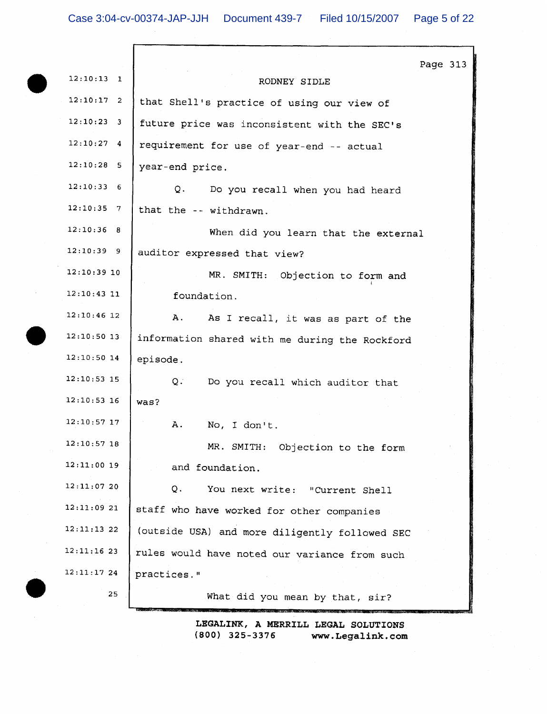|               |                                                | Page 313 |  |
|---------------|------------------------------------------------|----------|--|
| $12:10:13$ 1  | RODNEY SIDLE                                   |          |  |
| $12:10:17$ 2  | that Shell's practice of using our view of     |          |  |
| $12:10:23$ 3  | future price was inconsistent with the SEC's   |          |  |
| $12:10:27$ 4  | requirement for use of year-end -- actual      |          |  |
| $12:10:28$ 5  | year-end price.                                |          |  |
| 12:10:336     | Q.<br>Do you recall when you had heard         |          |  |
| $12:10:35$ 7  | that the -- withdrawn.                         |          |  |
| $12:10:36$ 8  | When did you learn that the external           |          |  |
| $12:10:39$ 9  | auditor expressed that view?                   |          |  |
| $12:10:39$ 10 | MR. SMITH: Objection to form and               |          |  |
| $12:10:43$ 11 | foundation.                                    |          |  |
| $12:10:46$ 12 | Α.<br>As I recall, it was as part of the       |          |  |
| $12:10:50$ 13 | information shared with me during the Rockford |          |  |
| $12:10:50$ 14 | episode.                                       |          |  |
| $12:10:53$ 15 | Q.<br>Do you recall which auditor that         |          |  |
| $12:10:53$ 16 | was?                                           |          |  |
| 12:10:57 17   | Α.<br>No, I don't.                             |          |  |
| $12:10:57$ 18 | MR. SMITH: Objection to the form               |          |  |
| $12:11:00$ 19 | and foundation.                                |          |  |
| 12:11:0720    | Q.<br>You next write: "Current Shell           |          |  |
| 12:11:0921    | staff who have worked for other companies      |          |  |
| $12:11:13$ 22 | (outside USA) and more diligently followed SEC |          |  |
| 12:11:1623    | rules would have noted our variance from such  |          |  |
| $12:11:17$ 24 | practices."                                    |          |  |
| 25            | What did you mean by that, sir?                |          |  |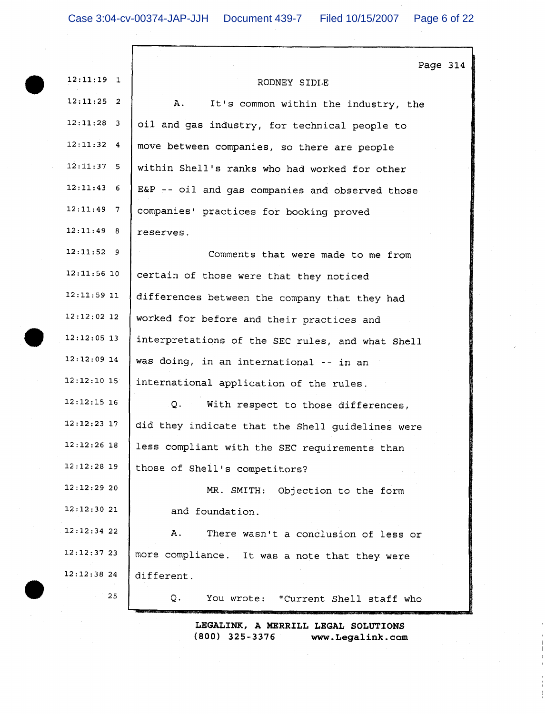|                         | Page 314                                         |
|-------------------------|--------------------------------------------------|
| 12:11:19<br>$\mathbf 1$ | RODNEY SIDLE                                     |
| $12:11:25$ 2            | A.,<br>It's common within the industry, the      |
| $12:11:28$ 3            | oil and gas industry, for technical people to    |
| 12:11:32<br>4           | move between companies, so there are people      |
| $12:11:37$ 5            | within Shell's ranks who had worked for other    |
| 12:11:43<br>6           | E&P -- oil and gas companies and observed those  |
| $12:11:49$ 7            | companies' practices for booking proved          |
| 12:11:49 8              | reserves.                                        |
| $12:11:52$ 9            | Comments that were made to me from               |
| $12:11:56$ 10           | certain of those were that they noticed          |
| 12:11:59 11             | differences between the company that they had    |
| $12:12:02$ 12           | worked for before and their practices and        |
| $12:12:05$ 13           | interpretations of the SEC rules, and what Shell |
| $12:12:09$ 14           | was doing, in an international -- in an          |
| $12:12:10$ 15           | international application of the rules.          |
| $12:12:15$ 16           | Q. With respect to those differences,            |
| $12:12:23$ 17           | did they indicate that the Shell guidelines were |
| $12:12:26$ 18           | less compliant with the SEC requirements than    |
| $12:12:28$ 19           | those of Shell's competitors?                    |
| 12:12:2920              | MR. SMITH: Objection to the form                 |
| 12:12:3021              | and foundation.                                  |
| 12:12:34 22             | Α.<br>There wasn't a conclusion of less or       |
| 12:12:37 23             | more compliance. It was a note that they were    |
| 12:12:38 24             | different.                                       |
| 25                      | Q.<br>You wrote: "Current Shell staff who        |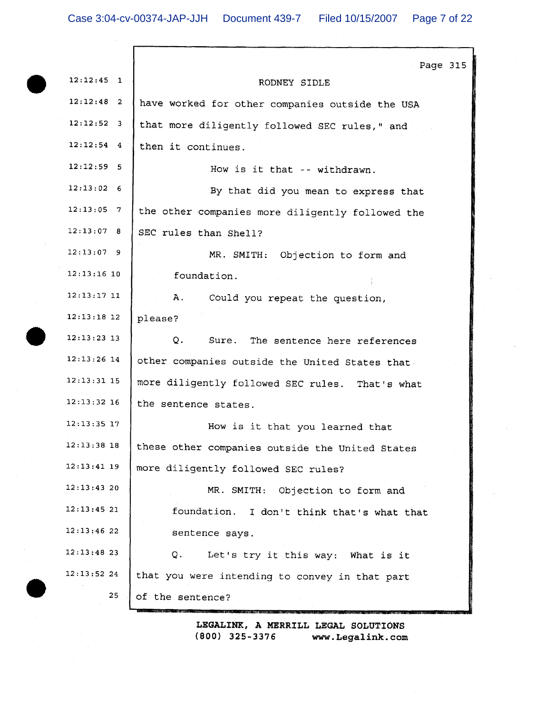г

|               | Page 315                                         |
|---------------|--------------------------------------------------|
| $12:12:45$ 1  | RODNEY SIDLE                                     |
| $12:12:48$ 2  | have worked for other companies outside the USA  |
| $12:12:52$ 3  | that more diligently followed SEC rules," and    |
| $12:12:54$ 4  | then it continues.                               |
| $12:12:59$ 5  | How is it that -- withdrawn.                     |
| 12:13:02 6    | By that did you mean to express that             |
| $12:13:05$ 7  | the other companies more diligently followed the |
| 12:13:07 8    | SEC rules than Shell?                            |
| $12:13:07$ 9  | MR. SMITH: Objection to form and                 |
| $12:13:16$ 10 | foundation.                                      |
| $12:13:17$ 11 | Α.<br>Could you repeat the question,             |
| $12:13:18$ 12 | please?                                          |
| $12:13:23$ 13 | Q.<br>Sure. The sentence here references         |
| $12:13:26$ 14 | other companies outside the United States that   |
| $12:13:31$ 15 | more diligently followed SEC rules. That's what  |
| $12:13:32$ 16 | the sentence states.                             |
| $12:13:35$ 17 | How is it that you learned that                  |
| $12:13:38$ 18 | these other companies outside the United States  |
| $12:13:41$ 19 | more diligently followed SEC rules?              |
| 12:13:4320    | MR. SMITH:<br>Objection to form and              |
| $12:13:45$ 21 | foundation. I don't think that's what that       |
| 12:13:46 22   | sentence says.                                   |
| $12:13:48$ 23 | Q.<br>Let's try it this way: What is it          |
| 12:13:5224    | that you were intending to convey in that part   |
| 25            | of the sentence?                                 |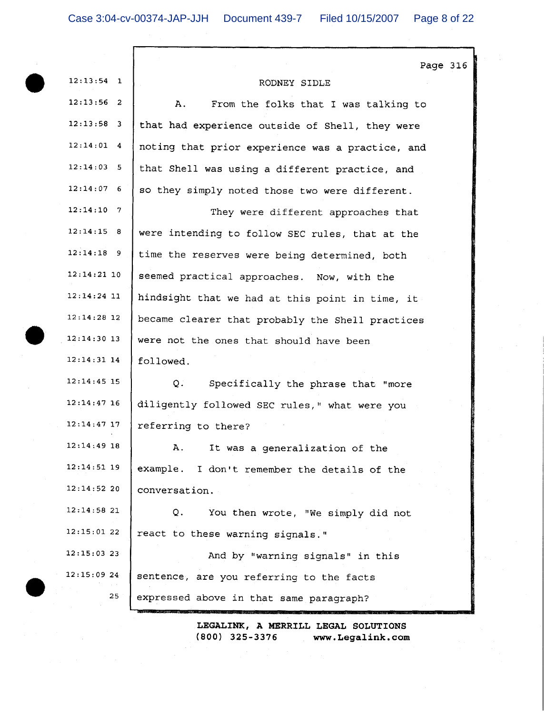|               | Page 316                                         |
|---------------|--------------------------------------------------|
| $12:13:54$ 1  | RODNEY SIDLE                                     |
| $12:13:56$ 2  | Α.<br>From the folks that I was talking to       |
| $12:13:58$ 3  | that had experience outside of Shell, they were  |
| $12:14:01$ 4  | noting that prior experience was a practice, and |
| 12:14:03:5    | that Shell was using a different practice, and   |
| $12:14:07$ 6  | so they simply noted those two were different.   |
| $12:14:10$ 7  | They were different approaches that              |
| 12:14:15 8    | were intending to follow SEC rules, that at the  |
| $12:14:18$ 9  | time the reserves were being determined, both    |
| $12:14:21$ 10 | seemed practical approaches. Now, with the       |
| $12:14:24$ 11 | hindsight that we had at this point in time, it  |
| $12:14:28$ 12 | became clearer that probably the Shell practices |
| $12:14:30$ 13 | were not the ones that should have been          |
| $12:14:31$ 14 | followed.                                        |
| $12:14:45$ 15 | Q.<br>Specifically the phrase that "more         |
| $12:14:47$ 16 | diligently followed SEC rules," what were you    |
| 12:14:47 17   | referring to there?                              |
| $12:14:49$ 18 | It was a generalization of the<br>А.             |
| $12:14:51$ 19 | example. I don't remember the details of the     |
| 12:14:52 20   | conversation.                                    |
| 12:14:58 21   | You then wrote, "We simply did not<br>Q.         |
| 12:15:01 22   | react to these warning signals."                 |
| $12:15:03$ 23 | And by "warning signals" in this                 |
| $12:15:09$ 24 | sentence, are you referring to the facts         |
| 25            | expressed above in that same paragraph?          |
|               |                                                  |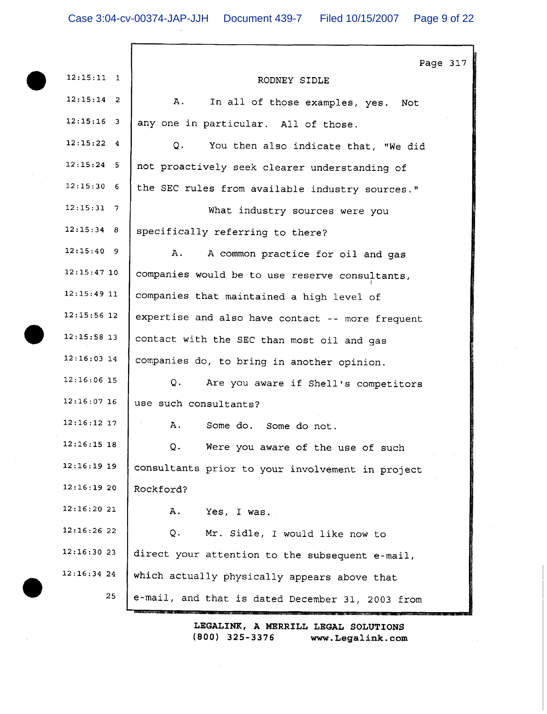$\Gamma$ 

|                    | Page 317                                         |
|--------------------|--------------------------------------------------|
| $12:15:11$ 1       | RODNEY SIDLE                                     |
| $12:15:14$ 2       | A.<br>In all of those examples, yes.<br>Not      |
| $12:15:16$ 3       | any one in particular. All of those.             |
| $12:15:22$ 4       | Q.<br>You then also indicate that, "We did       |
| $12:15:24$ 5       | not proactively seek clearer understanding of    |
| 12:15:30   6       | the SEC rules from available industry sources."  |
| $12:15:31 \quad 7$ | What industry sources were you                   |
| $12:15:34$ 8       | specifically referring to there?                 |
| 12:15:40 9         | Α.<br>A common practice for oil and gas          |
| $12:15:47$ 10      | companies would be to use reserve consultants,   |
| $12:15:49$ 11      | companies that maintained a high level of        |
| $12:15:56$ 12      | expertise and also have contact -- more frequent |
| $12:15:58$ 13      | contact with the SEC than most oil and gas       |
| $12:16:03$ 14      | companies do, to bring in another opinion.       |
| 12:16:06 15        | Q.<br>Are you aware if Shell's competitors       |
| $12:16:07$ 16      | use such consultants?                            |
| $12:16:12$ 17      | Α.<br>Some do. Some do not.                      |
| $12:16:15$ 18      | Q.<br>Were you aware of the use of such          |
| $12:16:19$ 19      | consultants prior to your involvement in project |
| 12:16:1920         | Rockford?                                        |
| 12:16:2021         | Α.<br>Yes, I was.                                |
| 12:16:2622         | Q.<br>Mr. Sidle, I would like now to             |
| 12:16:3023         | direct your attention to the subsequent e-mail,  |
| $12:16:34$ 24      | which actually physically appears above that     |
| 25                 | e-mail, and that is dated December 31, 2003 from |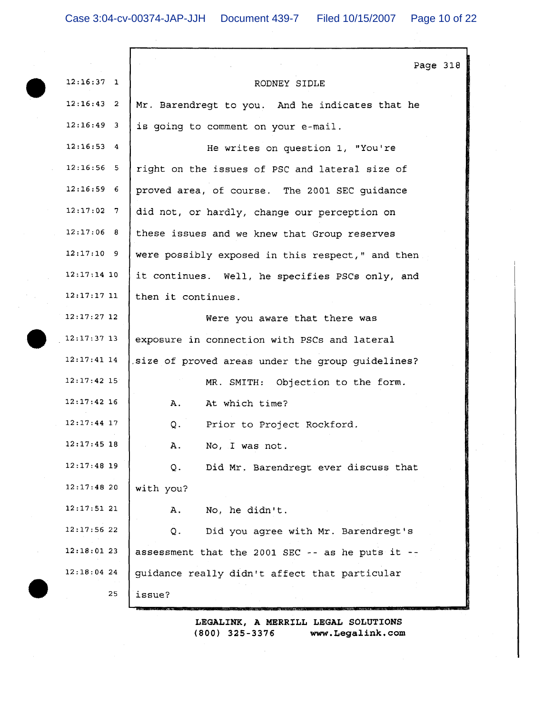|               | Page 318                                         |
|---------------|--------------------------------------------------|
| $12:16:37$ 1  | RODNEY SIDLE                                     |
| $12:16:43$ 2  | Mr. Barendregt to you. And he indicates that he  |
| $12:16:49$ 3  | is going to comment on your e-mail.              |
| $12:16:53$ 4  | He writes on question 1, "You're                 |
| $12:16:56$ 5  | right on the issues of PSC and lateral size of   |
| $12:16:59$ 6  | proved area, of course. The 2001 SEC guidance    |
| $12:17:02$ 7  | did not, or hardly, change our perception on     |
| 12:17:06 8    | these issues and we knew that Group reserves     |
| 12:17:10 9    | were possibly exposed in this respect," and then |
| $12:17:14$ 10 | it continues. Well, he specifies PSCs only, and  |
| 12:17:17 11   | then it continues.                               |
| $12:17:27$ 12 | Were you aware that there was                    |
| $12:17:37$ 13 | exposure in connection with PSCs and lateral     |
| $12:17:41$ 14 | size of proved areas under the group guidelines? |
| $12:17:42$ 15 | MR. SMITH: Objection to the form.                |
| $12:17:42$ 16 | Α.<br>At which time?                             |
| $12:17:44$ 17 | Q.<br>Prior to Project Rockford.                 |
| $12:17:45$ 18 | No, I was not.<br>Α.                             |
| $12:17:48$ 19 | Did Mr. Barendregt ever discuss that<br>Q.       |
| 12:17:4820    | with you?                                        |
| 12:17:5121    | No, he didn't.<br>Α.                             |
| $12:17:56$ 22 | Did you agree with Mr. Barendregt's<br>Q.        |
| 12:18:0123    | assessment that the 2001 SEC -- as he puts it -- |
| $12:18:04$ 24 | guidance really didn't affect that particular    |
| 25            | issue?                                           |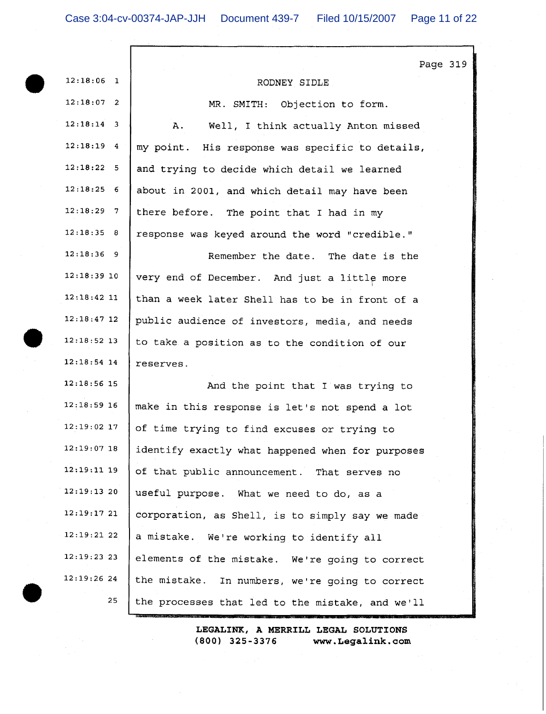|               | Page 319                                         |
|---------------|--------------------------------------------------|
| $12:18:06$ 1  | RODNEY SIDLE                                     |
| $12:18:07$ 2  | MR. SMITH: Objection to form.                    |
| $12:18:14$ 3  | Well, I think actually Anton missed<br>Α.        |
| $12:18:19$ 4  | my point. His response was specific to details,  |
| 12:18:22 5    | and trying to decide which detail we learned     |
| $12:18:25$ 6  | about in 2001, and which detail may have been    |
| $12:18:29$ 7  | there before. The point that I had in my         |
| 12:18:35 8    | response was keyed around the word "credible."   |
| $12:18:36$ 9  | Remember the date. The date is the               |
| $12:18:39$ 10 | very end of December. And just a little more     |
| $12:18:42$ 11 | than a week later Shell has to be in front of a  |
| $12:18:47$ 12 | public audience of investors, media, and needs   |
| $12:18:52$ 13 | to take a position as to the condition of our    |
| $12:18:54$ 14 | reserves.                                        |
| $12:18:56$ 15 | And the point that I was trying to               |
| $12:18:59$ 16 | make in this response is let's not spend a lot   |
| $12:19:02$ 17 | of time trying to find excuses or trying to      |
| $12:19:07$ 18 | identify exactly what happened when for purposes |
| $12:19:11$ 19 | of that public announcement. That serves no      |
| 12:19:1320    | useful purpose. What we need to do, as a         |
| 12:19:17 21   | corporation, as Shell, is to simply say we made  |
| 12:19:2122    | a mistake. We're working to identify all         |
| $12:19:23$ 23 | elements of the mistake. We're going to correct  |
| 12:19:2624    | the mistake. In numbers, we're going to correct  |
| 25            | the processes that led to the mistake, and we'll |
|               |                                                  |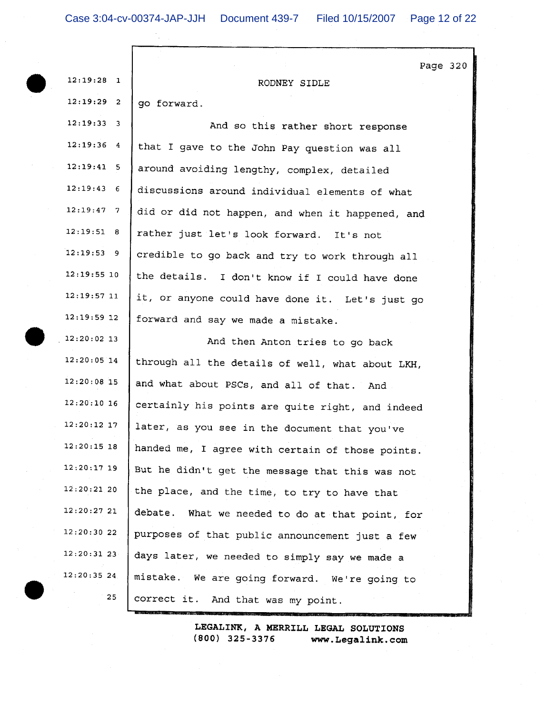| $12:19:28$ 1  | Page 320<br>RODNEY SIDLE                         |
|---------------|--------------------------------------------------|
| $12:19:29$ 2  | go forward.                                      |
| $12:19:33$ 3  | And so this rather short response                |
| $12:19:36$ 4  | that I gave to the John Pay question was all     |
| $12:19:41$ 5  | around avoiding lengthy, complex, detailed       |
| $12:19:43$ 6  | discussions around individual elements of what   |
| $12:19:47$ 7  | did or did not happen, and when it happened, and |
| 12:19:51 8    | rather just let's look forward. It's not         |
| $12:19:53$ 9  | credible to go back and try to work through all  |
| $12:19:55$ 10 | the details. I don't know if I could have done   |
| $12:19:57$ 11 | it, or anyone could have done it. Let's just go  |
| $12:19:59$ 12 | forward and say we made a mistake.               |
| $12:20:02$ 13 | And then Anton tries to go back                  |
| $12:20:05$ 14 | through all the details of well, what about LKH, |
| $12:20:08$ 15 | and what about PSCs, and all of that. And        |
| $12:20:10$ 16 | certainly his points are quite right, and indeed |
| $12:20:12$ 17 | later, as you see in the document that you've    |
| $12:20:15$ 18 | handed me, I agree with certain of those points. |
| $12:20:17$ 19 | But he didn't get the message that this was not  |
| $12:20:21$ 20 | the place, and the time, to try to have that     |
| 12:20:27 21   | debate. What we needed to do at that point, for  |
| 12:20:30 22   | purposes of that public announcement just a few  |
| $12:20:31$ 23 | days later, we needed to simply say we made a    |
| $12:20:35$ 24 | mistake. We are going forward. We're going to    |
| 25            | correct it. And that was my point.               |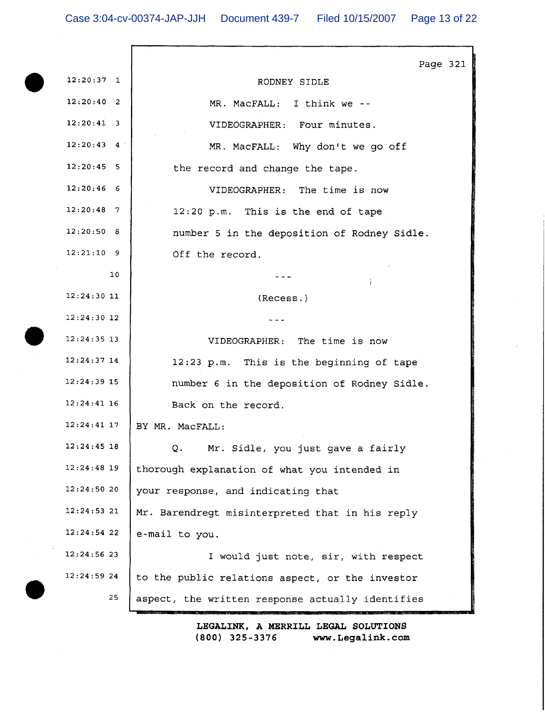Case 3:04-cv-00374-JAP-JJH Document 439-7 Filed 10/15/2007 Page 13 of 22

|               | Page 321                                         |
|---------------|--------------------------------------------------|
| $12:20:37$ 1  | RODNEY SIDLE                                     |
| 12:20:40 2    | MR. MacFALL: I think we --                       |
| $12:20:41$ 3  | VIDEOGRAPHER: Four minutes.                      |
| $12:20:43$ 4  | MR. MacFALL: Why don't we go off                 |
| $12:20:45$ 5  | the record and change the tape.                  |
| $12:20:46$ 6  | VIDEOGRAPHER: The time is now                    |
| $12:20:48$ 7  | 12:20 p.m. This is the end of tape               |
| 12:20:50 8    | number 5 in the deposition of Rodney Sidle.      |
| $12:21:10$ 9  | Off the record.                                  |
| 10            |                                                  |
| $12:24:30$ 11 | (Recess.)                                        |
| $12:24:30$ 12 |                                                  |
| $12:24:35$ 13 | VIDEOGRAPHER: The time is now                    |
| $12:24:37$ 14 | 12:23 p.m. This is the beginning of tape         |
| $12:24:39$ 15 | number 6 in the deposition of Rodney Sidle.      |
| $12:24:41$ 16 | Back on the record.                              |
| $12:24:41$ 17 | BY MR. MacFALL:                                  |
| 12:24:45 18   | Q.<br>Mr. Sidle, you just gave a fairly          |
| $12:24:48$ 19 | thorough explanation of what you intended in     |
| 12:24:5020    | your response, and indicating that               |
| $12:24:53$ 21 | Mr. Barendregt misinterpreted that in his reply  |
| 12:24:5422    | e-mail to you.                                   |
| 12:24:5623    | I would just note, sir, with respect             |
| 12:24:5924    | to the public relations aspect, or the investor  |
| 25            | aspect, the written response actually identifies |
|               |                                                  |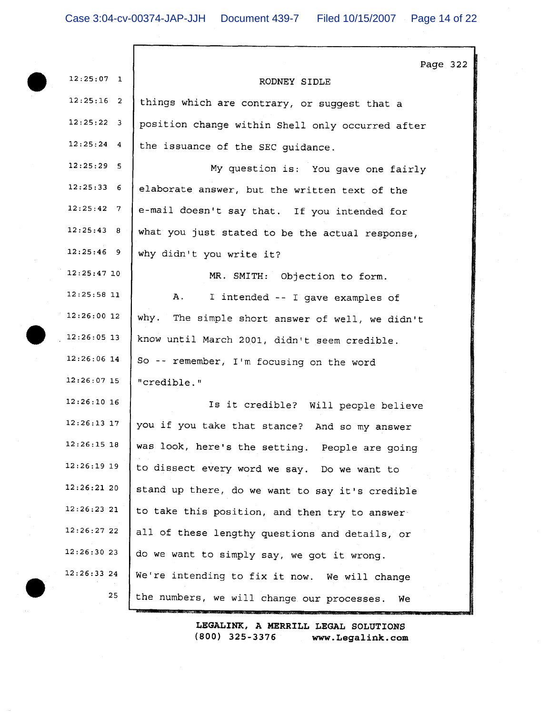Г

|               | Page 322                                         |
|---------------|--------------------------------------------------|
| $12:25:07$ 1  | RODNEY SIDLE                                     |
| $12:25:16$ 2  | things which are contrary, or suggest that a     |
| $12:25:22$ 3  | position change within Shell only occurred after |
| $12:25:24$ 4  | the issuance of the SEC guidance.                |
| $12:25:29$ 5  | My question is: You gave one fairly              |
| $12:25:33$ 6  | elaborate answer, but the written text of the    |
| 12:25:42 7    | e-mail doesn't say that. If you intended for     |
| 12:25:43 8    | what you just stated to be the actual response,  |
| $12:25:46$ 9  | why didn't you write it?                         |
| $12:25:47$ 10 | MR. SMITH: Objection to form.                    |
| $12:25:58$ 11 | A.<br>I intended -- I gave examples of           |
| $12:26:00$ 12 | why. The simple short answer of well, we didn't  |
| $12:26:05$ 13 | know until March 2001, didn't seem credible.     |
| $12:26:06$ 14 | So -- remember, I'm focusing on the word         |
| $12:26:07$ 15 | "credible."                                      |
| $12:26:10$ 16 | Is it credible? Will people believe              |
| $12:26:13$ 17 | you if you take that stance? And so my answer    |
| $12:26:15$ 18 | was look, here's the setting. People are going   |
| $12:26:19$ 19 | to dissect every word we say. Do we want to      |
| 12:26:2120    | stand up there, do we want to say it's credible  |
| 12:26:23 21   | to take this position, and then try to answer    |
| 12:26:27 22   | all of these lengthy questions and details, or   |
| 12:26:30 23   | do we want to simply say, we got it wrong.       |
| 12:26:3324    | We're intending to fix it now. We will change    |
| 25            | the numbers, we will change our processes.<br>We |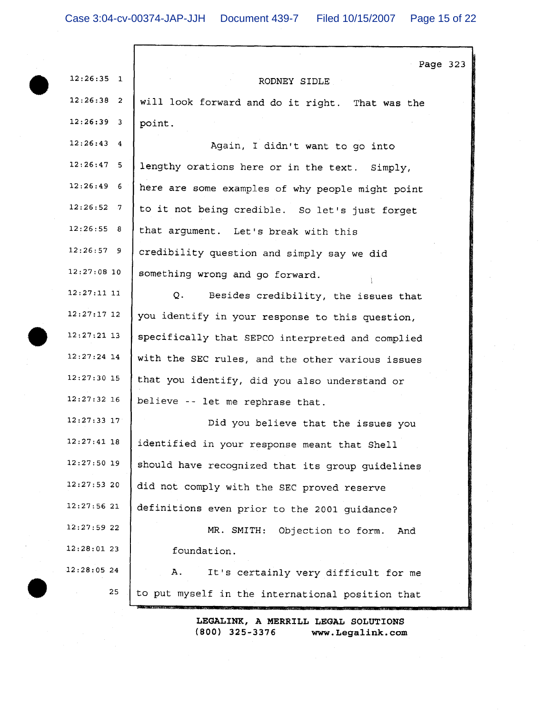|                    | Page 323                                         |
|--------------------|--------------------------------------------------|
| $12:26:35$ 1       | RODNEY SIDLE                                     |
| $12:26:38$ 2       | will look forward and do it right. That was the  |
| $12:26:39$ 3       | point.                                           |
| $12:26:43$ 4       | Again, I didn't want to go into                  |
| $12:26:47$ 5       | lengthy orations here or in the text. Simply,    |
| $12:26:49$ 6       | here are some examples of why people might point |
| $12:26:52 \quad 7$ | to it not being credible. So let's just forget   |
| 12:26:55 8         | that argument. Let's break with this             |
| $12:26:57$ 9       | credibility question and simply say we did       |
| $12:27:08$ 10      | something wrong and go forward.                  |
| $12:27:11$ 11      | Q.<br>Besides credibility, the issues that       |
| $12:27:17$ 12      | you identify in your response to this question,  |
| $12:27:21$ 13      | specifically that SEPCO interpreted and complied |
| $12:27:24$ 14      | with the SEC rules, and the other various issues |
| $12:27:30$ 15      | that you identify, did you also understand or    |
| $12:27:32$ 16      | believe -- let me rephrase that.                 |
| $12:27:33$ 17      | Did you believe that the issues you              |
| 12:27:41 18        | identified in your response meant that Shell     |
| $12:27:50$ 19      | should have recognized that its group guidelines |
| 12:27:5320         | did not comply with the SEC proved reserve       |
| $12:27:56$ 21      | definitions even prior to the 2001 guidance?     |
| $12:27:59$ 22      | MR. SMITH: Objection to form.<br>And             |
| 12:28:0123         | foundation.                                      |
| 12:28:0524         | Α.<br>It's certainly very difficult for me       |
| 25                 | to put myself in the international position that |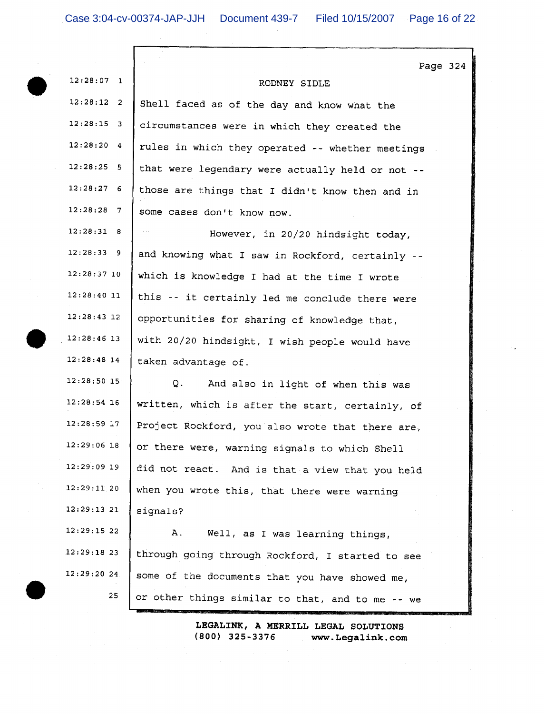$\mathsf{r}$ 

|               |                                                  | Page 324 |  |
|---------------|--------------------------------------------------|----------|--|
| $12:28:07$ 1  | RODNEY SIDLE                                     |          |  |
| 12:28:12 2    | Shell faced as of the day and know what the      |          |  |
| $12:28:15$ 3  | circumstances were in which they created the     |          |  |
| 12:28:20 4    | rules in which they operated -- whether meetings |          |  |
| $12:28:25$ 5  | that were legendary were actually held or not -- |          |  |
| $12:28:27$ 6  | those are things that I didn't know then and in  |          |  |
| $12:28:28$ 7  | some cases don't know now.                       |          |  |
| 12:28:31 8    | However, in 20/20 hindsight today,               |          |  |
| $12:28:33$ 9  | and knowing what I saw in Rockford, certainly -- |          |  |
| 12:28:37 10   | which is knowledge I had at the time I wrote     |          |  |
| 12:28:4011    | this -- it certainly led me conclude there were  |          |  |
| $12:28:43$ 12 | opportunities for sharing of knowledge that,     |          |  |
| $12:28:46$ 13 | with 20/20 hindsight, I wish people would have   |          |  |
| $12:28:48$ 14 | taken advantage of.                              |          |  |
| $12:28:50$ 15 | Q.<br>And also in light of when this was         |          |  |
| $12:28:54$ 16 | written, which is after the start, certainly, of |          |  |
| $12:28:59$ 17 | Project Rockford, you also wrote that there are, |          |  |
| $12:29:06$ 18 | or there were, warning signals to which Shell    |          |  |
| $12:29:09$ 19 | did not react. And is that a view that you held  |          |  |
| $12:29:11$ 20 | when you wrote this, that there were warning     |          |  |
| 12:29:1321    | signals?                                         |          |  |
| 12:29:15 22   | Well, as I was learning things,<br>А.            |          |  |
| $12:29:18$ 23 | through going through Rockford, I started to see |          |  |
| 12:29:2024    | some of the documents that you have showed me,   |          |  |
| 25            | or other things similar to that, and to me -- we |          |  |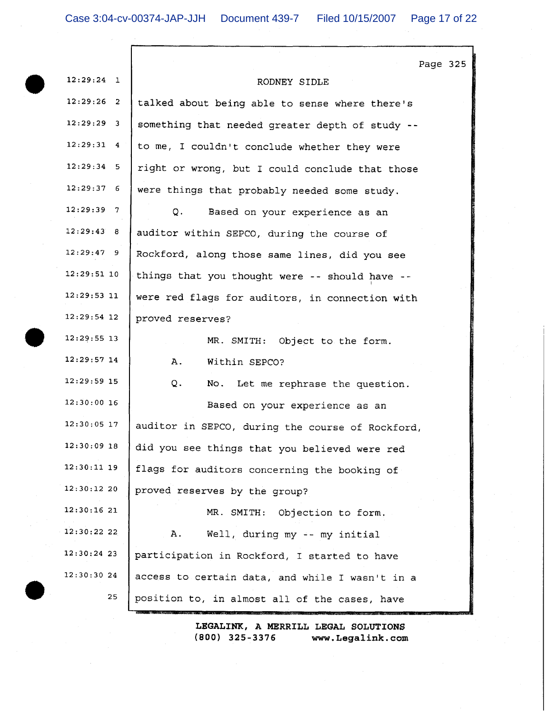Г

|               | Page 325                                         |
|---------------|--------------------------------------------------|
| $12:29:24$ 1  | RODNEY SIDLE                                     |
| $12:29:26$ 2  | talked about being able to sense where there's   |
| $12:29:29$ 3  | something that needed greater depth of study --  |
| $12:29:31$ 4  | to me, I couldn't conclude whether they were     |
| $12:29:34$ 5  | right or wrong, but I could conclude that those  |
| $12:29:37$ 6  | were things that probably needed some study.     |
| $12:29:39$ 7  | Q.<br>Based on your experience as an             |
| 12:29:43 8    | auditor within SEPCO, during the course of       |
| $12:29:47$ 9  | Rockford, along those same lines, did you see    |
| $12:29:51$ 10 | things that you thought were -- should have --   |
| $12:29:53$ 11 | were red flags for auditors, in connection with  |
| $12:29:54$ 12 | proved reserves?                                 |
| $12:29:55$ 13 | MR. SMITH: Object to the form.                   |
| $12:29:57$ 14 | Within SEPCO?<br>Α.                              |
| 12:29:59 15   | Q.<br>No. Let me rephrase the question.          |
| $12:30:00$ 16 | Based on your experience as an                   |
| $12:30:05$ 17 | auditor in SEPCO, during the course of Rockford, |
| $12:30:09$ 18 | did you see things that you believed were red    |
| $12:30:11$ 19 | flags for auditors concerning the booking of     |
| 12:30:1220    | proved reserves by the group?                    |
| 12:30:1621    | MR. SMITH:<br>Objection to form.                 |
| 12:30:22 22   | Α.<br>Well, during my -- my initial              |
| 12:30:24 23   | participation in Rockford, I started to have     |
| 12:30:30 24   | access to certain data, and while I wasn't in a  |
| 25            | position to, in almost all of the cases, have    |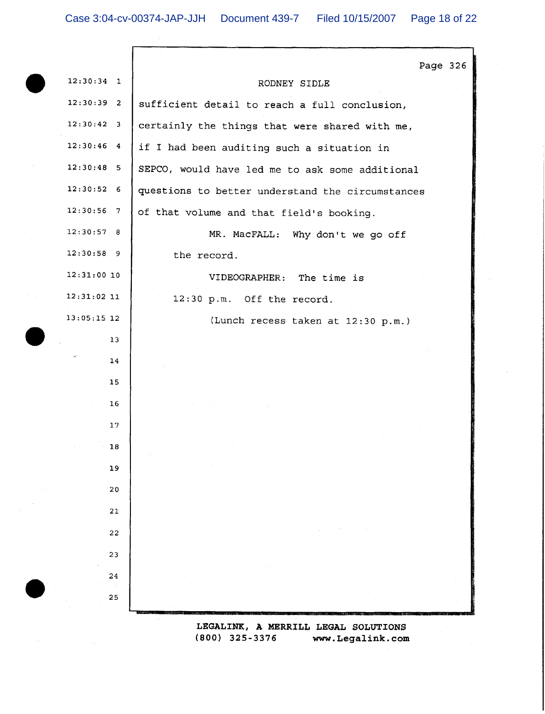|               | Page 326                                         |
|---------------|--------------------------------------------------|
| $12:30:34$ 1  | RODNEY SIDLE                                     |
| $12:30:39$ 2  | sufficient detail to reach a full conclusion,    |
| $12:30:42$ 3  | certainly the things that were shared with me,   |
| $12:30:46$ 4  | if I had been auditing such a situation in       |
| $12:30:48$ 5  | SEPCO, would have led me to ask some additional  |
| $12:30:52$ 6  | questions to better understand the circumstances |
| $12:30:56$ 7  | of that volume and that field's booking.         |
| 12:30:57 8    | MR. MacFALL: Why don't we go off                 |
| $12:30:58$ 9  | the record.                                      |
| $12:31:00$ 10 | VIDEOGRAPHER: The time is                        |
| $12:31:02$ 11 | 12:30 p.m. Off the record.                       |
| $13:05:15$ 12 | (Lunch recess taken at 12:30 p.m.)               |
| 13            |                                                  |
| 14            |                                                  |
| 15            |                                                  |
| 16            |                                                  |
| 17            |                                                  |
| 18            |                                                  |
| 19            |                                                  |
| 20            |                                                  |
| 21            |                                                  |
| 22            |                                                  |
| 23            |                                                  |
| 24            |                                                  |
| 25            |                                                  |
|               | LEGALINK, A MERRILL LEGAL SOLUTIONS              |

 $(800)$  325-3376 www.Legalink.com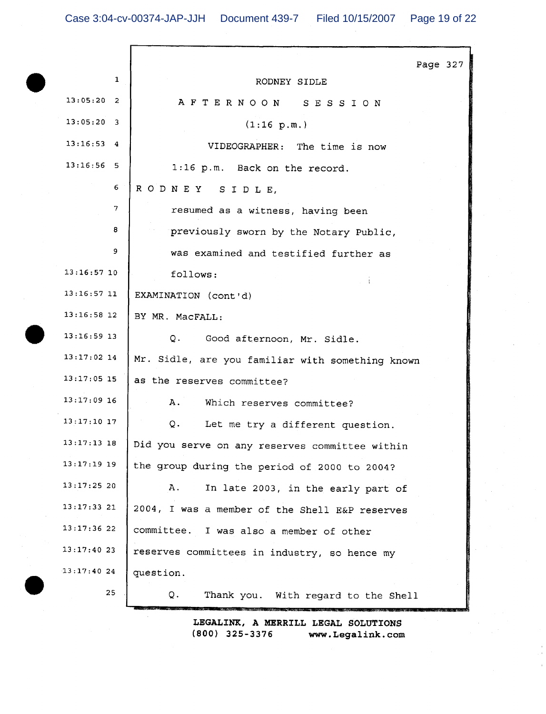|               | Page 327                                         |
|---------------|--------------------------------------------------|
| 1             | RODNEY SIDLE                                     |
| $13:05:20$ 2  | AFTERNOON SESSION                                |
| $13:05:20$ 3  | (1:16 p.m.)                                      |
| $13:16:53$ 4  | VIDEOGRAPHER: The time is now                    |
| $13:16:56$ 5  | 1:16 p.m. Back on the record.                    |
| 6             | RODNEY SIDLE,                                    |
| 7             | resumed as a witness, having been                |
| 8             | previously sworn by the Notary Public,           |
| 9             | was examined and testified further as            |
| $13:16:57$ 10 | follows:                                         |
| $13:16:57$ 11 | EXAMINATION (cont'd)                             |
| $13:16:58$ 12 | BY MR. MacFALL:                                  |
| $13:16:59$ 13 | Q. Good afternoon, Mr. Sidle.                    |
| $13:17:02$ 14 | Mr. Sidle, are you familiar with something known |
| $13:17:05$ 15 | as the reserves committee?                       |
| $13:17:09$ 16 | A. Which reserves committee?                     |
| $13:17:10$ 17 | $Q$ .<br>Let me try a different question.        |
| 13:17:13 18   | Did you serve on any reserves committee within   |
| $13:17:19$ 19 | the group during the period of 2000 to 2004?     |
| 13:17:2520    | Α.<br>In late 2003, in the early part of         |
| $13:17:33$ 21 | 2004, I was a member of the Shell E&P reserves   |
| 13:17:3622    | committee.<br>I was also a member of other       |
| $13:17:40$ 23 | reserves committees in industry, so hence my     |
| 13:17:4024    | question.                                        |
| 25            | Thank you. With regard to the Shell<br>Q.        |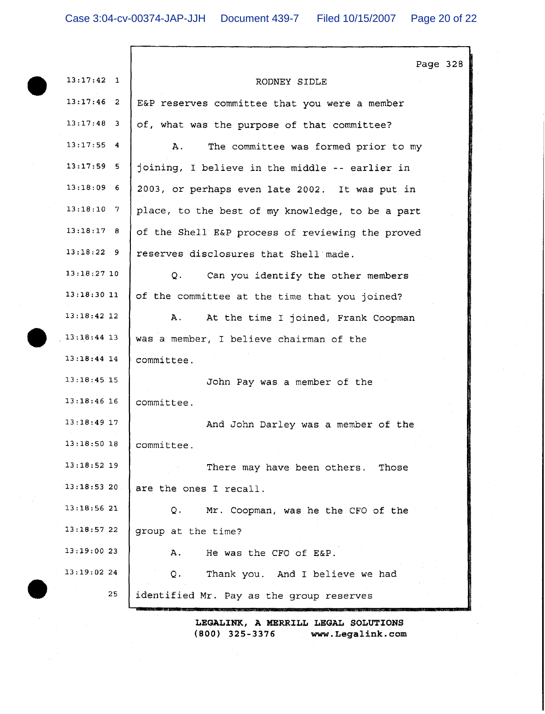$\Gamma$ 

|               | Page 328                                         |
|---------------|--------------------------------------------------|
| $13:17:42$ 1  | RODNEY SIDLE                                     |
| $13:17:46$ 2  | E&P reserves committee that you were a member    |
| $13:17:48$ 3  | of, what was the purpose of that committee?      |
| $13:17:55$ 4  | Α.<br>The committee was formed prior to my       |
| $13:17:59$ 5  | joining, I believe in the middle -- earlier in   |
| $13:18:09$ 6  | 2003, or perhaps even late 2002. It was put in   |
| $13:18:10$ 7  | place, to the best of my knowledge, to be a part |
| $13:18:17$ 8  | of the Shell E&P process of reviewing the proved |
| $13:18:22$ 9  | reserves disclosures that Shell made.            |
| $13:18:27$ 10 | Q.<br>Can you identify the other members         |
| $13:18:30$ 11 | of the committee at the time that you joined?    |
| $13:18:42$ 12 | Α.<br>At the time I joined, Frank Coopman        |
| $13:18:44$ 13 | was a member, I believe chairman of the          |
| $13:18:44$ 14 | committee.                                       |
| $13:18:45$ 15 | John Pay was a member of the                     |
| $13:18:46$ 16 | committee.                                       |
| $13:18:49$ 17 | And John Darley was a member of the              |
| $13:18:50$ 18 | committee.                                       |
| $13:18:52$ 19 | There may have been others. Those                |
| 13:18:5320    | are the ones I recall.                           |
| $13:18:56$ 21 | Mr. Coopman, was he the CFO of the<br>Q.         |
| 13:18:5722    | group at the time?                               |
| 13:19:00 23   | He was the CFO of E&P.<br>Α.                     |
| 13:19:0224    | Thank you. And I believe we had<br>$Q_{\star}$   |
| 25            | identified Mr. Pay as the group reserves         |
|               |                                                  |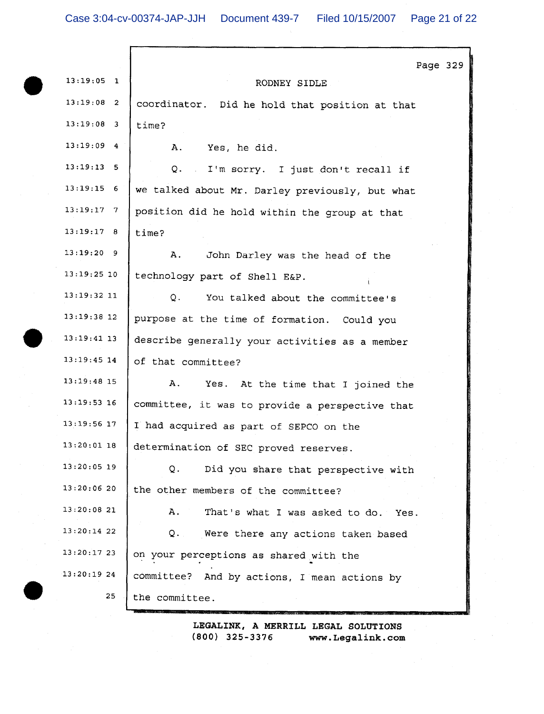|               | Page 329                                        |
|---------------|-------------------------------------------------|
| $13:19:05$ 1  | RODNEY SIDLE                                    |
| $13:19:08$ 2  | coordinator. Did he hold that position at that  |
| $13:19:08$ 3  | time?                                           |
| $13:19:09$ 4  | Α.<br>Yes, he did.                              |
| $13:19:13$ 5  | Q. I'm sorry. I just don't recall if            |
| $13:19:15$ 6  | we talked about Mr. Darley previously, but what |
| $13:19:17$ 7  | position did he hold within the group at that   |
| 13:19:17 8    | time?                                           |
| $13:19:20$ 9  | Α.<br>John Darley was the head of the           |
| $13:19:25$ 10 | technology part of Shell E&P.                   |
| $13:19:32$ 11 | You talked about the committee's<br>Q.          |
| $13:19:38$ 12 | purpose at the time of formation. Could you     |
| $13:19:41$ 13 | describe generally your activities as a member  |
| $13:19:45$ 14 | of that committee?                              |
| $13:19:48$ 15 | Α.<br>Yes. At the time that I joined the        |
| 13:19:53 16   | committee, it was to provide a perspective that |
| $13:19:56$ 17 | I had acquired as part of SEPCO on the          |
| $13:20:01$ 18 | determination of SEC proved reserves.           |
| $13:20:05$ 19 | Q.<br>Did you share that perspective with       |
| 13:20:0620    | the other members of the committee?             |
| 13:20:08 21   | That's what I was asked to do. Yes.<br>А.       |
| $13:20:14$ 22 | Were there any actions taken based<br>Q.        |
| 13:20:1723    | on your perceptions as shared with the          |
| 13:20:1924    | committee? And by actions, I mean actions by    |
| 25            | the committee.                                  |